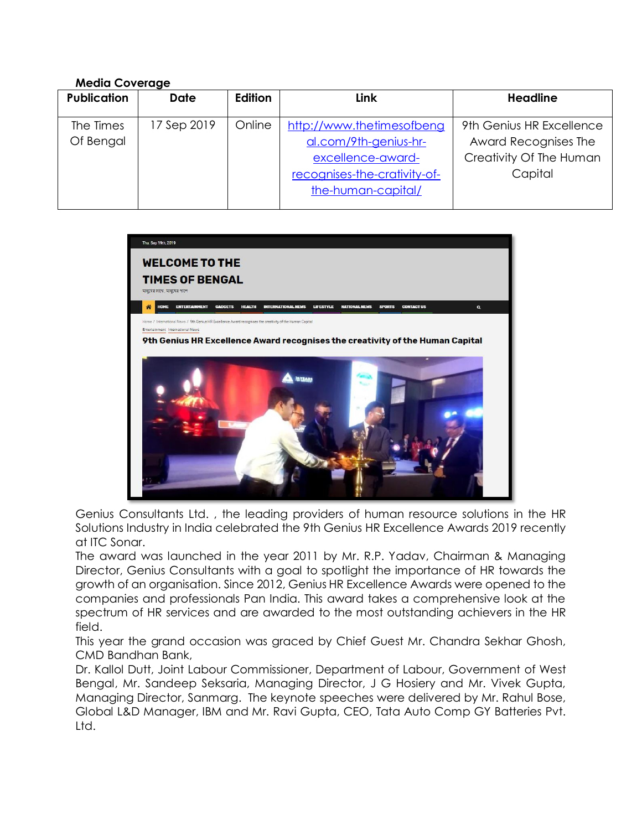## **Media Coverage**

| <b>Publication</b>     | <b>Date</b> | Edition | Link                                                                                                                          | <b>Headline</b>                                                                        |
|------------------------|-------------|---------|-------------------------------------------------------------------------------------------------------------------------------|----------------------------------------------------------------------------------------|
| The Times<br>Of Bengal | 17 Sep 2019 | Online  | http://www.thetimesofbeng<br>al.com/9th-genius-hr-<br>excellence-award-<br>recognises-the-crativity-of-<br>the-human-capital/ | 9th Genius HR Excellence<br>Award Recognises The<br>Creativity Of The Human<br>Capital |



Genius Consultants Ltd. , the leading providers of human resource solutions in the HR Solutions Industry in India celebrated the 9th Genius HR Excellence Awards 2019 recently at ITC Sonar.

The award was launched in the year 2011 by Mr. R.P. Yadav, Chairman & Managing Director, Genius Consultants with a goal to spotlight the importance of HR towards the growth of an organisation. Since 2012, Genius HR Excellence Awards were opened to the companies and professionals Pan India. This award takes a comprehensive look at the spectrum of HR services and are awarded to the most outstanding achievers in the HR field.

This year the grand occasion was graced by Chief Guest Mr. Chandra Sekhar Ghosh, CMD Bandhan Bank,

Dr. Kallol Dutt, Joint Labour Commissioner, Department of Labour, Government of West Bengal, Mr. Sandeep Seksaria, Managing Director, J G Hosiery and Mr. Vivek Gupta, Managing Director, Sanmarg. The keynote speeches were delivered by Mr. Rahul Bose, Global L&D Manager, IBM and Mr. Ravi Gupta, CEO, Tata Auto Comp GY Batteries Pvt. Ltd.